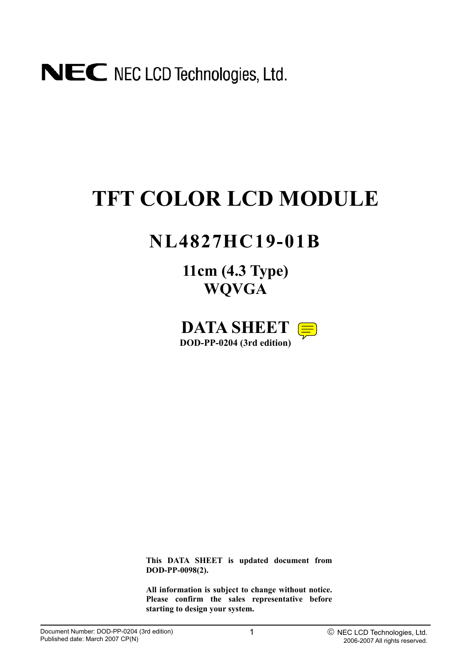

# **TFT COLOR LCD MODULE**

# **NL4827HC19-01B**

**11cm (4.3 Type) WQVGA**



**This DATA SHEET is updated document from DOD-PP-0098(2).** 

**All information is subject to change without notice. Please confirm the sales representative before starting to design your system.**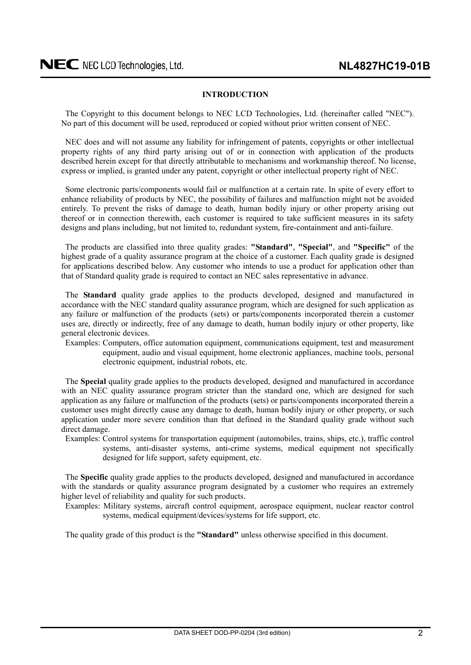### **INTRODUCTION**

<span id="page-1-0"></span>The Copyright to this document belongs to NEC LCD Technologies, Ltd. (hereinafter called "NEC"). No part of this document will be used, reproduced or copied without prior written consent of NEC.

NEC does and will not assume any liability for infringement of patents, copyrights or other intellectual property rights of any third party arising out of or in connection with application of the products described herein except for that directly attributable to mechanisms and workmanship thereof. No license, express or implied, is granted under any patent, copyright or other intellectual property right of NEC.

Some electronic parts/components would fail or malfunction at a certain rate. In spite of every effort to enhance reliability of products by NEC, the possibility of failures and malfunction might not be avoided entirely. To prevent the risks of damage to death, human bodily injury or other property arising out thereof or in connection therewith, each customer is required to take sufficient measures in its safety designs and plans including, but not limited to, redundant system, fire-containment and anti-failure.

The products are classified into three quality grades: **"Standard"**, **"Special"**, and **"Specific"** of the highest grade of a quality assurance program at the choice of a customer. Each quality grade is designed for applications described below. Any customer who intends to use a product for application other than that of Standard quality grade is required to contact an NEC sales representative in advance.

The **Standard** quality grade applies to the products developed, designed and manufactured in accordance with the NEC standard quality assurance program, which are designed for such application as any failure or malfunction of the products (sets) or parts/components incorporated therein a customer uses are, directly or indirectly, free of any damage to death, human bodily injury or other property, like general electronic devices.

Examples: Computers, office automation equipment, communications equipment, test and measurement equipment, audio and visual equipment, home electronic appliances, machine tools, personal electronic equipment, industrial robots, etc.

The **Special** quality grade applies to the products developed, designed and manufactured in accordance with an NEC quality assurance program stricter than the standard one, which are designed for such application as any failure or malfunction of the products (sets) or parts/components incorporated therein a customer uses might directly cause any damage to death, human bodily injury or other property, or such application under more severe condition than that defined in the Standard quality grade without such direct damage.

Examples: Control systems for transportation equipment (automobiles, trains, ships, etc.), traffic control systems, anti-disaster systems, anti-crime systems, medical equipment not specifically designed for life support, safety equipment, etc.

The **Specific** quality grade applies to the products developed, designed and manufactured in accordance with the standards or quality assurance program designated by a customer who requires an extremely higher level of reliability and quality for such products.

Examples: Military systems, aircraft control equipment, aerospace equipment, nuclear reactor control systems, medical equipment/devices/systems for life support, etc.

The quality grade of this product is the **"Standard"** unless otherwise specified in this document.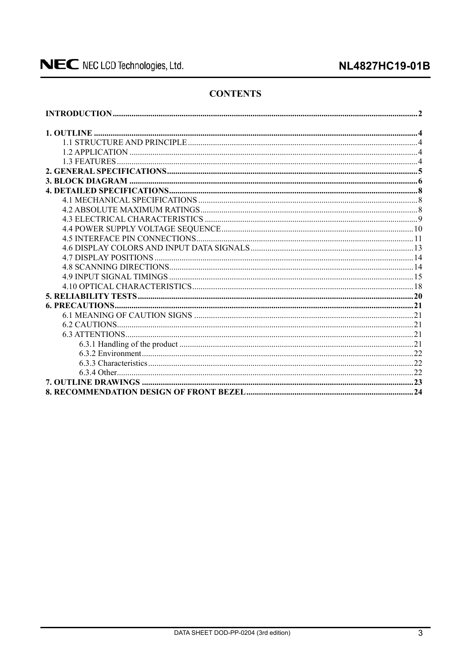### **NL4827HC19-01B**

### **CONTENTS**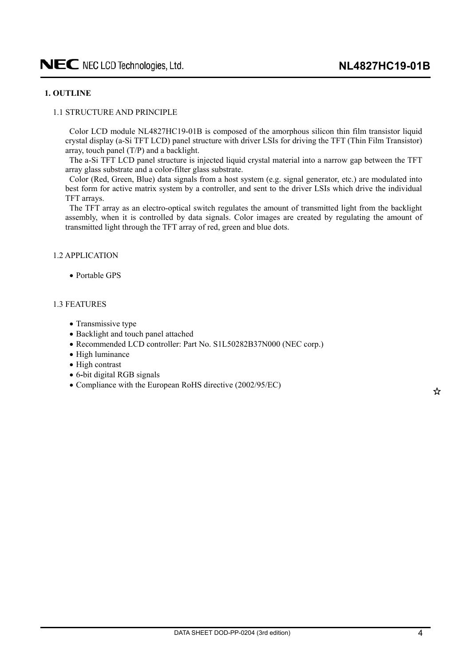### <span id="page-3-0"></span>**1. OUTLINE**

### 1.1 STRUCTURE AND PRINCIPLE

Color LCD module NL4827HC19-01B is composed of the amorphous silicon thin film transistor liquid crystal display (a-Si TFT LCD) panel structure with driver LSIs for driving the TFT (Thin Film Transistor) array, touch panel (T/P) and a backlight.

The a-Si TFT LCD panel structure is injected liquid crystal material into a narrow gap between the TFT array glass substrate and a color-filter glass substrate.

Color (Red, Green, Blue) data signals from a host system (e.g. signal generator, etc.) are modulated into best form for active matrix system by a controller, and sent to the driver LSIs which drive the individual TFT arrays.

The TFT array as an electro-optical switch regulates the amount of transmitted light from the backlight assembly, when it is controlled by data signals. Color images are created by regulating the amount of transmitted light through the TFT array of red, green and blue dots.

### 1.2 APPLICATION

 $\bullet$  Portable GPS

### 1.3 FEATURES

- Transmissive type
- Backlight and touch panel attached
- Recommended LCD controller: Part No. S1L50282B37N000 (NEC corp.)
- $\bullet$  High luminance
- High contrast
- x 6**-**bit digital RGB signals
- Compliance with the European RoHS directive (2002/95/EC)

☆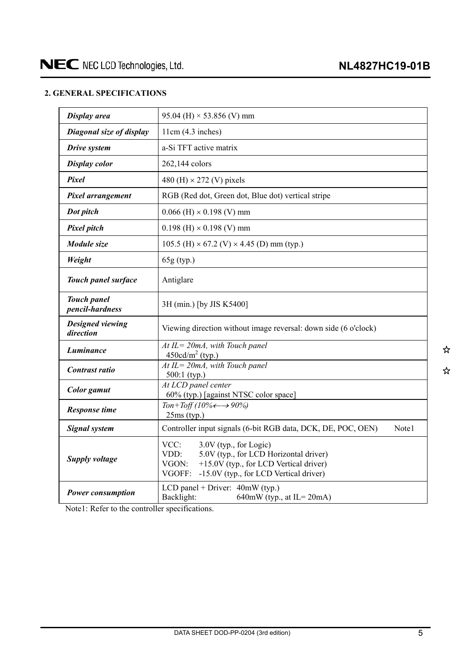### <span id="page-4-0"></span>**2. GENERAL SPECIFICATIONS**

| Display area                          | 95.04 (H) $\times$ 53.856 (V) mm                                                                                                                                                        |
|---------------------------------------|-----------------------------------------------------------------------------------------------------------------------------------------------------------------------------------------|
| Diagonal size of display              | 11cm(4.3 inches)                                                                                                                                                                        |
| Drive system                          | a-Si TFT active matrix                                                                                                                                                                  |
| <b>Display color</b>                  | 262,144 colors                                                                                                                                                                          |
| Pixel                                 | 480 (H) $\times$ 272 (V) pixels                                                                                                                                                         |
| Pixel arrangement                     | RGB (Red dot, Green dot, Blue dot) vertical stripe                                                                                                                                      |
| Dot pitch                             | $0.066$ (H) $\times$ 0.198 (V) mm                                                                                                                                                       |
| <b>Pixel pitch</b>                    | $0.198$ (H) $\times$ 0.198 (V) mm                                                                                                                                                       |
| Module size                           | 105.5 (H) $\times$ 67.2 (V) $\times$ 4.45 (D) mm (typ.)                                                                                                                                 |
| Weight                                | 65g (typ.)                                                                                                                                                                              |
| Touch panel surface                   | Antiglare                                                                                                                                                                               |
| <b>Touch panel</b><br>pencil-hardness | 3H (min.) [by JIS K5400]                                                                                                                                                                |
| Designed viewing<br>direction         | Viewing direction without image reversal: down side (6 o'clock)                                                                                                                         |
| Luminance                             | $At IL = 20mA$ , with Touch panel<br>$450 \text{cd/m}^2$ (typ.)                                                                                                                         |
| Contrast ratio                        | $At IL = 20mA$ , with Touch panel<br>$500:1$ (typ.)                                                                                                                                     |
| <b>Color</b> gamut                    | At LCD panel center<br>60% (typ.) [against NTSC color space]                                                                                                                            |
| <b>Response time</b>                  | Ton+Toff (10% $\leftarrow \rightarrow 90\%$ )<br>$25ms$ (typ.)                                                                                                                          |
| <b>Signal system</b>                  | Controller input signals (6-bit RGB data, DCK, DE, POC, OEN)<br>Note1                                                                                                                   |
| Supply voltage                        | VCC:<br>3.0V (typ., for Logic)<br>VDD:<br>5.0V (typ., for LCD Horizontal driver)<br>+15.0V (typ., for LCD Vertical driver)<br>VGON:<br>VGOFF:<br>-15.0V (typ., for LCD Vertical driver) |
| <b>Power consumption</b>              | LCD panel + Driver: $40mW$ (typ.)<br>Backlight:<br>640mW (typ., at IL= $20mA$ )                                                                                                         |

Note1: Refer to the controller specifications.

☆ ☆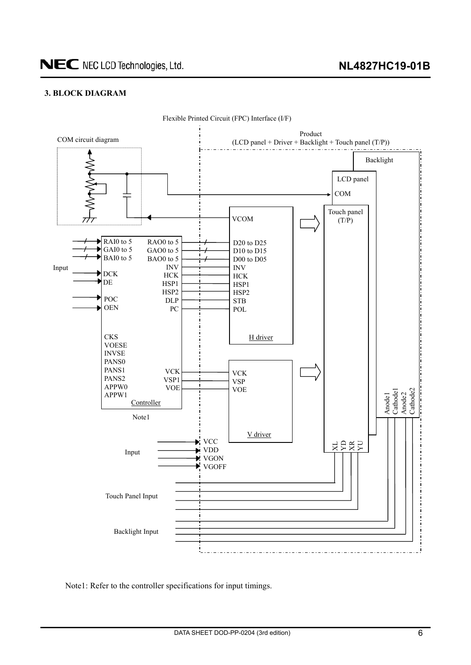### <span id="page-5-0"></span>**3. BLOCK DIAGRAM**



Flexible Printed Circuit (FPC) Interface (I/F)

Note1: Refer to the controller specifications for input timings.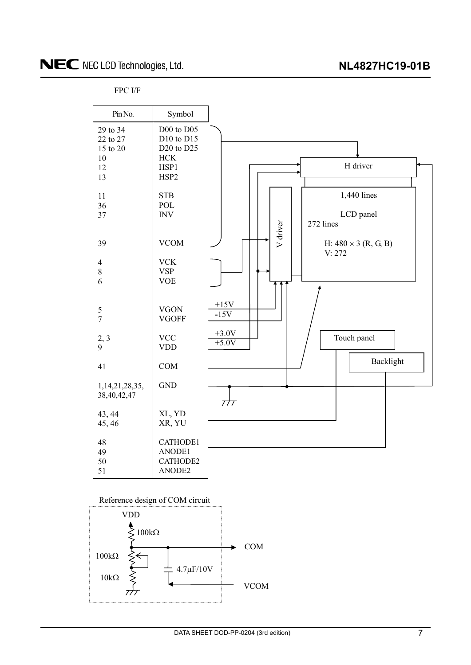FPC I/F





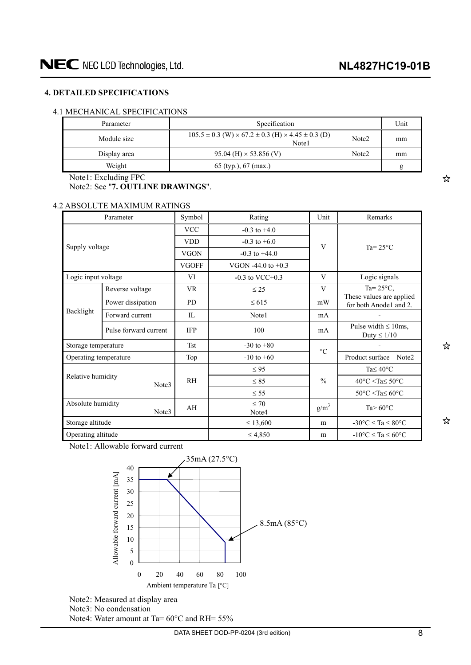### <span id="page-7-0"></span>**4. DETAILED SPECIFICATIONS**

### 4.1 MECHANICAL SPECIFICATIONS

| Parameter    | Specification                                                                        |                   | Unit |
|--------------|--------------------------------------------------------------------------------------|-------------------|------|
| Module size  | $105.5 \pm 0.3$ (W) $\times$ 67.2 $\pm$ 0.3 (H) $\times$ 4.45 $\pm$ 0.3 (D)<br>Note1 | Note <sub>2</sub> | mm   |
| Display area | $95.04$ (H) $\times$ 53.856 (V)                                                      | Note <sub>2</sub> | mm   |
| Weight       | 65 (typ.), 67 (max.)                                                                 |                   |      |

Note1: Excluding FPC

Note2: See "**7. OUTLINE DRAWINGS**".

### 4.2 ABSOLUTE MAXIMUM RATINGS

|                       | Parameter             | Symbol         | Rating               | Unit          | Remarks                                            |  |
|-----------------------|-----------------------|----------------|----------------------|---------------|----------------------------------------------------|--|
|                       |                       | <b>VCC</b>     | $-0.3$ to $+4.0$     |               |                                                    |  |
| Supply voltage        |                       | <b>VDD</b>     | $-0.3$ to $+6.0$     | V             | Ta= $25^{\circ}$ C                                 |  |
|                       |                       | <b>VGON</b>    | $-0.3$ to $+44.0$    |               |                                                    |  |
|                       |                       | <b>VGOFF</b>   | VGON -44.0 to $+0.3$ |               |                                                    |  |
| Logic input voltage   |                       | VI             | $-0.3$ to VCC+0.3    | V             | Logic signals                                      |  |
|                       | Reverse voltage       | <b>VR</b>      | $\leq$ 25            | V             | Ta= $25^{\circ}$ C,                                |  |
|                       | Power dissipation     | <b>PD</b>      | $\leq 615$           | mW            | These values are applied<br>for both Anode1 and 2. |  |
| Backlight             | Forward current       | $\Pi$ .        | Note1                | mA            |                                                    |  |
|                       | Pulse forward current | <b>IFP</b>     | 100                  | mA            | Pulse width $\leq 10$ ms,<br>Duty $\leq 1/10$      |  |
| Storage temperature   |                       | <b>Tst</b>     | $-30$ to $+80$       | $\circ$ C     |                                                    |  |
| Operating temperature |                       | Top            | $-10$ to $+60$       |               | Product surface<br>Note2                           |  |
|                       |                       |                | $\leq 95$            |               | Ta $\leq 40^{\circ}$ C                             |  |
| Relative humidity     | Note3                 | R <sub>H</sub> | $\leq 85$            | $\frac{0}{0}$ | $40^{\circ}$ C <ta<math>\leq 50^{\circ}C</ta<math> |  |
|                       |                       |                | $\leq$ 55            |               | $50^{\circ}$ C <ta<math>\leq 60^{\circ}C</ta<math> |  |
| Absolute humidity     | Note3                 | AH             | $\leq 70$<br>Note4   | $g/m^3$       | Ta $> 60^{\circ}$ C                                |  |
| Storage altitude      |                       |                | $\leq 13,600$        | m             | $-30^{\circ}$ C $\leq$ Ta $\leq 80^{\circ}$ C      |  |
| Operating altitude    |                       |                | $\leq 4,850$         | m             | $-10$ °C $\le$ Ta $\le$ 60°C                       |  |

Note1: Allowable forward current



Note2: Measured at display area Note3: No condensation Note4: Water amount at Ta=  $60^{\circ}$ C and RH=  $55\%$  ☆

☆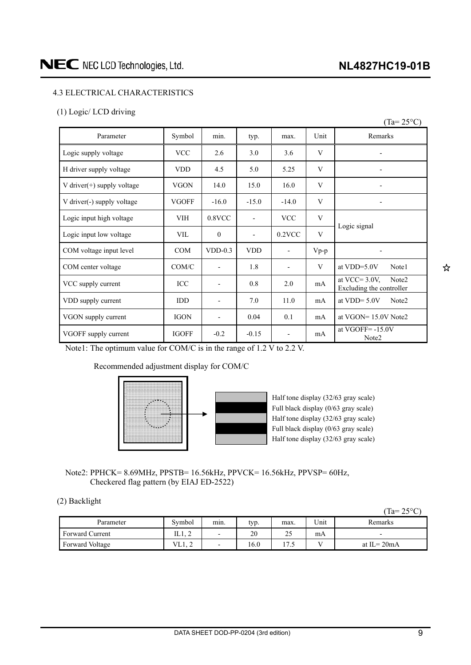### **NL4827HC19-01B**

### <span id="page-8-0"></span>4.3 ELECTRICAL CHARACTERISTICS

### (1) Logic/ LCD driving

|                               |              |                          |                          |                          |        | $(Ta=25^{\circ}C)$                                                |
|-------------------------------|--------------|--------------------------|--------------------------|--------------------------|--------|-------------------------------------------------------------------|
| Parameter                     | Symbol       | min.                     | typ.                     | max.                     | Unit   | Remarks                                                           |
| Logic supply voltage          | <b>VCC</b>   | 2.6                      | 3.0                      | 3.6                      | V      |                                                                   |
| H driver supply voltage       | <b>VDD</b>   | 4.5                      | 5.0                      | 5.25                     | V      |                                                                   |
| V driver $(+)$ supply voltage | <b>VGON</b>  | 14.0                     | 15.0                     | 16.0                     | V      |                                                                   |
| V driver(-) supply voltage    | <b>VGOFF</b> | $-16.0$                  | $-15.0$                  | $-14.0$                  | V      | $\overline{\phantom{a}}$                                          |
| Logic input high voltage      | <b>VIH</b>   | $0.8$ VCC                | $\overline{\phantom{0}}$ | <b>VCC</b>               | V      | Logic signal                                                      |
| Logic input low voltage       | <b>VIL</b>   | $\mathbf{0}$             | $\overline{a}$           | $0.2$ VCC                | V      |                                                                   |
| COM voltage input level       | <b>COM</b>   | $VDD-0.3$                | <b>VDD</b>               | $\overline{\phantom{a}}$ | $Vp-p$ |                                                                   |
| COM center voltage            | COM/C        | $\blacksquare$           | 1.8                      | $\overline{\phantom{a}}$ | V      | at $VDD=5.0V$<br>Note1                                            |
| VCC supply current            | ICC          | $\overline{\phantom{a}}$ | 0.8                      | 2.0                      | mA     | at VCC= $3.0V$ .<br>Note <sub>2</sub><br>Excluding the controller |
| VDD supply current            | <b>IDD</b>   | $\overline{\phantom{a}}$ | 7.0                      | 11.0                     | mA     | at VDD= $5.0V$<br>Note <sub>2</sub>                               |
| VGON supply current           | <b>IGON</b>  | $\overline{\phantom{a}}$ | 0.04                     | 0.1                      | mA     | at VGON= 15.0V Note2                                              |
| VGOFF supply current          | <b>IGOFF</b> | $-0.2$                   | $-0.15$                  |                          | mA     | at VGOFF $= -15.0V$<br>Note2                                      |

Note1: The optimum value for COM/C is in the range of 1.2 V to 2.2 V.

Recommended adjustment display for COM/C



Half tone display (32/63 gray scale) Full black display (0/63 gray scale) Half tone display (32/63 gray scale) Full black display (0/63 gray scale) Half tone display (32/63 gray scale)

Note2: PPHCK= 8.69MHz, PPSTB= 16.56kHz, PPVCK= 16.56kHz, PPVSP= 60Hz, Checkered flag pattern (by EIAJ ED-2522)

### (2) Backlight

|                        |            |                          |      |                      |      | 1a=<br>$\sim$ $\sim$ $\sim$ $\sim$<br>ں کے |
|------------------------|------------|--------------------------|------|----------------------|------|--------------------------------------------|
| Parameter              | Symbol     | min.                     | typ. | max.                 | Unit | Remarks                                    |
| <b>Forward Current</b> | 11. L<br>∼ | $\overline{\phantom{0}}$ | 20   | 25                   | mA   | -                                          |
| Forward Voltage        | VL1, 2     | -                        | .6.0 | $\mathbf{\tau}$<br>ت |      | at $IL = 20mA$                             |

 $(T<sub>2</sub> - 25<sub>0</sub>)$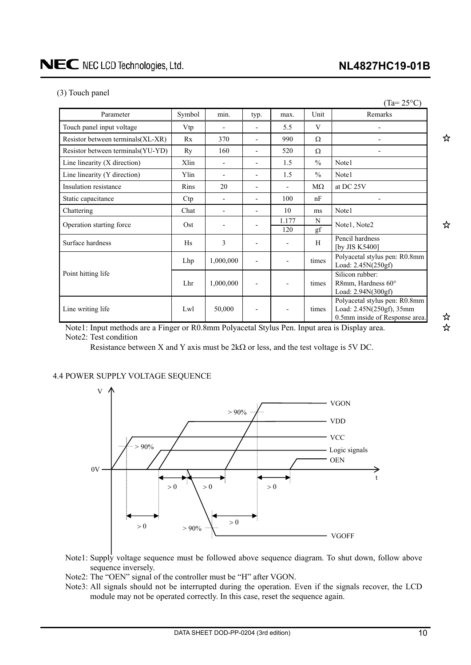### **NL4827HC19-01B**

 $(T_{\text{max}} \cap \mathcal{F} \circ C)$ 

### <span id="page-9-0"></span>(3) Touch panel

| Parameter                          | Symbol | min.      | typ. | max.         | Unit          | Remarks                                                                                     |
|------------------------------------|--------|-----------|------|--------------|---------------|---------------------------------------------------------------------------------------------|
| Touch panel input voltage          | Vtp    |           |      | 5.5          | V             |                                                                                             |
| Resistor between terminals(XL-XR)  | Rx     | 370       |      | 990          | Ω             |                                                                                             |
| Resistor between terminals (YU-YD) | Ry     | 160       |      | 520          | Ω             |                                                                                             |
| Line linearity $(X$ direction)     | Xlin   |           |      | 1.5          | $\frac{0}{0}$ | Note1                                                                                       |
| Line linearity (Y direction)       | Ylin   |           |      | 1.5          | $\frac{0}{0}$ | Note1                                                                                       |
| Insulation resistance              | Rins   | 20        |      |              | $M\Omega$     | at DC 25V                                                                                   |
| Static capacitance                 | Ctp    |           |      | 100          | nF            |                                                                                             |
| Chattering                         | Chat   |           |      | 10           | ms            | Note1                                                                                       |
| Operation starting force           | Ost    |           |      | 1.177<br>120 | N<br>gf       | Note1, Note2                                                                                |
| Surface hardness                   | Hs     | 3         |      |              | H             | Pencil hardness<br>[by JIS K5400]                                                           |
|                                    | Lhp    | 1,000,000 |      |              | times         | Polyacetal stylus pen: R0.8mm<br>Load: 2.45N(250gf)                                         |
| Point hitting life                 | Lhr    | 1,000,000 |      |              | times         | Silicon rubber:<br>R8mm, Hardness 60°<br>Load: 2.94N(300gf)                                 |
| Line writing life                  | Lwl    | 50,000    |      |              | times         | Polyacetal stylus pen: R0.8mm<br>Load: 2.45N(250gf), 35mm<br>0.5mm inside of Response area. |

Note1: Input methods are a Finger or R0.8mm Polyacetal Stylus Pen. Input area is Display area. Note2: Test condition

Resistance between X and Y axis must be  $2k\Omega$  or less, and the test voltage is 5V DC.

### 4.4 POWER SUPPLY VOLTAGE SEQUENCE



- Note1: Supply voltage sequence must be followed above sequence diagram. To shut down, follow above sequence inversely.
- Note2: The "OEN" signal of the controller must be "H" after VGON.
- Note3: All signals should not be interrupted during the operation. Even if the signals recover, the LCD module may not be operated correctly. In this case, reset the sequence again.

☆

☆

☆ ☆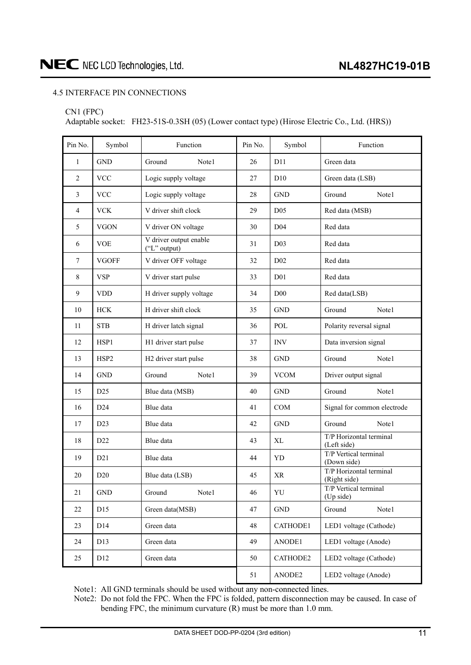### <span id="page-10-0"></span>4.5 INTERFACE PIN CONNECTIONS

#### CN1 (FPC)

Adaptable socket: FH23-51S-0.3SH (05) (Lower contact type) (Hirose Electric Co., Ltd. (HRS))

| Pin No.      | Symbol               | Function                               | Pin No. | Symbol          | Function                                |  |  |
|--------------|----------------------|----------------------------------------|---------|-----------------|-----------------------------------------|--|--|
| $\mathbf{1}$ | $\operatorname{GND}$ | Ground<br>Note1                        | 26      | D11             | Green data                              |  |  |
| $\mathbf{2}$ | <b>VCC</b>           | Logic supply voltage                   | 27      | D10             | Green data (LSB)                        |  |  |
| 3            | <b>VCC</b>           | Logic supply voltage                   | 28      | <b>GND</b>      | Ground<br>Note1                         |  |  |
| 4            | <b>VCK</b>           | V driver shift clock                   | 29      | D <sub>05</sub> | Red data (MSB)                          |  |  |
| 5            | <b>VGON</b>          | V driver ON voltage                    | 30      | D <sub>04</sub> | Red data                                |  |  |
| 6            | <b>VOE</b>           | V driver output enable<br>("L" output) | 31      | D <sub>03</sub> | Red data                                |  |  |
| $\tau$       | <b>VGOFF</b>         | V driver OFF voltage                   | 32      | D <sub>02</sub> | Red data                                |  |  |
| 8            | <b>VSP</b>           | V driver start pulse                   | 33      | D <sub>01</sub> | Red data                                |  |  |
| 9            | <b>VDD</b>           | H driver supply voltage                | 34      | D00             | Red data(LSB)                           |  |  |
| 10           | <b>HCK</b>           | H driver shift clock                   | 35      | <b>GND</b>      | Ground<br>Note1                         |  |  |
| 11           | <b>STB</b>           | H driver latch signal                  | 36      | POL             | Polarity reversal signal                |  |  |
| 12           | HSP1                 | H1 driver start pulse                  | 37      | <b>INV</b>      | Data inversion signal                   |  |  |
| 13           | HSP2                 | H2 driver start pulse                  | 38      | <b>GND</b>      | Ground<br>Note1                         |  |  |
| 14           | <b>GND</b>           | Ground<br>Note1                        | 39      | <b>VCOM</b>     | Driver output signal                    |  |  |
| 15           | D25                  | Blue data (MSB)                        | 40      | <b>GND</b>      | Ground<br>Note1                         |  |  |
| 16           | D24                  | Blue data                              | 41      | <b>COM</b>      | Signal for common electrode             |  |  |
| 17           | D23                  | Blue data                              | 42      | <b>GND</b>      | Ground<br>Note1                         |  |  |
| 18           | D22                  | Blue data                              | 43      | XL              | T/P Horizontal terminal<br>(Left side)  |  |  |
| 19           | D21                  | Blue data                              | 44      | YD              | T/P Vertical terminal<br>(Down side)    |  |  |
| $20\,$       | D20                  | Blue data (LSB)                        | 45      | $\rm XR$        | T/P Horizontal terminal<br>(Right side) |  |  |
| 21           | <b>GND</b>           | Ground<br>Note1                        | 46      | YU              | T/P Vertical terminal<br>(Up side)      |  |  |
| 22           | D15                  | Green data(MSB)                        | 47      | <b>GND</b>      | Note1<br>Ground                         |  |  |
| 23           | D14                  | Green data                             | 48      | CATHODE1        | LED1 voltage (Cathode)                  |  |  |
| 24           | D <sub>13</sub>      | Green data                             | 49      | ANODE1          | LED1 voltage (Anode)                    |  |  |
| 25           | D12                  | Green data                             | 50      | CATHODE2        | LED2 voltage (Cathode)                  |  |  |
|              |                      |                                        | 51      | ANODE2          | LED2 voltage (Anode)                    |  |  |

Note1: All GND terminals should be used without any non-connected lines.

Note2: Do not fold the FPC. When the FPC is folded, pattern disconnection may be caused. In case of bending FPC, the minimum curvature (R) must be more than 1.0 mm.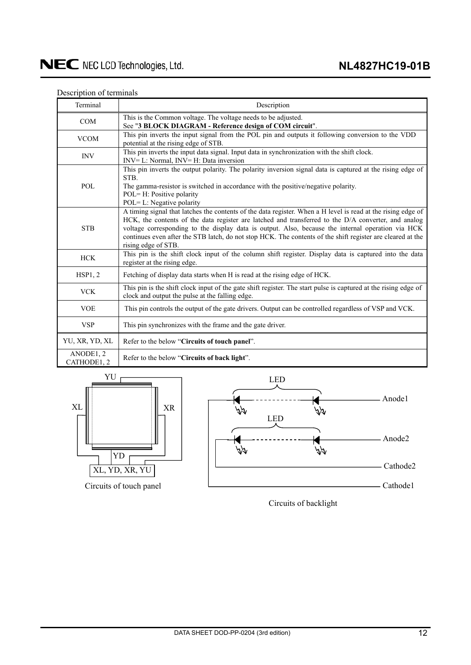### Description of terminals

| Terminal                 | Description                                                                                                                                                                                                                                                                                                                                                                                                                                                   |
|--------------------------|---------------------------------------------------------------------------------------------------------------------------------------------------------------------------------------------------------------------------------------------------------------------------------------------------------------------------------------------------------------------------------------------------------------------------------------------------------------|
| <b>COM</b>               | This is the Common voltage. The voltage needs to be adjusted.<br>See "3 BLOCK DIAGRAM - Reference design of COM circuit".                                                                                                                                                                                                                                                                                                                                     |
| <b>VCOM</b>              | This pin inverts the input signal from the POL pin and outputs it following conversion to the VDD<br>potential at the rising edge of STB.                                                                                                                                                                                                                                                                                                                     |
| <b>INV</b>               | This pin inverts the input data signal. Input data in synchronization with the shift clock.<br>INV= L: Normal, INV= H: Data inversion                                                                                                                                                                                                                                                                                                                         |
| POL                      | This pin inverts the output polarity. The polarity inversion signal data is captured at the rising edge of<br>STB.<br>The gamma-resistor is switched in accordance with the positive/negative polarity.<br>POL= H: Positive polarity<br>POL= L: Negative polarity                                                                                                                                                                                             |
| <b>STB</b>               | A timing signal that latches the contents of the data register. When a H level is read at the rising edge of<br>HCK, the contents of the data register are latched and transferred to the D/A converter, and analog<br>voltage corresponding to the display data is output. Also, because the internal operation via HCK<br>continues even after the STB latch, do not stop HCK. The contents of the shift register are cleared at the<br>rising edge of STB. |
| <b>HCK</b>               | This pin is the shift clock input of the column shift register. Display data is captured into the data<br>register at the rising edge.                                                                                                                                                                                                                                                                                                                        |
| HSP1, 2                  | Fetching of display data starts when H is read at the rising edge of HCK.                                                                                                                                                                                                                                                                                                                                                                                     |
| <b>VCK</b>               | This pin is the shift clock input of the gate shift register. The start pulse is captured at the rising edge of<br>clock and output the pulse at the falling edge.                                                                                                                                                                                                                                                                                            |
| <b>VOE</b>               | This pin controls the output of the gate drivers. Output can be controlled regardless of VSP and VCK.                                                                                                                                                                                                                                                                                                                                                         |
| <b>VSP</b>               | This pin synchronizes with the frame and the gate driver.                                                                                                                                                                                                                                                                                                                                                                                                     |
| YU, XR, YD, XL           | Refer to the below "Circuits of touch panel".                                                                                                                                                                                                                                                                                                                                                                                                                 |
| ANODE1, 2<br>CATHODE1, 2 | Refer to the below "Circuits of back light".                                                                                                                                                                                                                                                                                                                                                                                                                  |





Circuits of backlight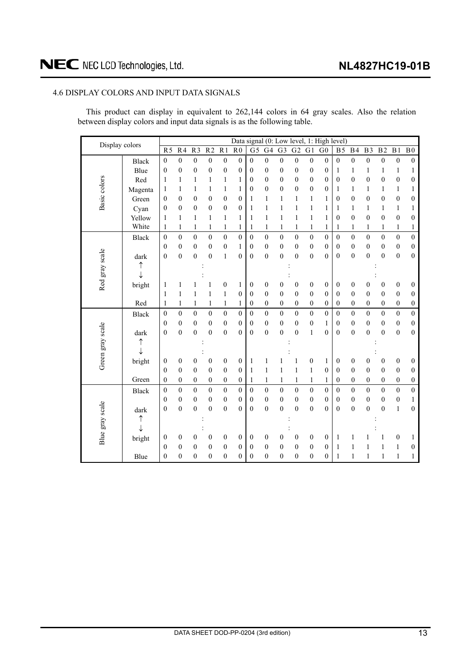### <span id="page-12-0"></span>4.6 DISPLAY COLORS AND INPUT DATA SIGNALS

This product can display in equivalent to 262,144 colors in 64 gray scales. Also the relation between display colors and input data signals is as the following table.

| Display colors   |              |                  |                  |                  |                  |                  |                  | Data signal (0: Low level, 1: High level) |                  |                  |                  |                  |                  |                  |                  |                  |                  |                  |                  |
|------------------|--------------|------------------|------------------|------------------|------------------|------------------|------------------|-------------------------------------------|------------------|------------------|------------------|------------------|------------------|------------------|------------------|------------------|------------------|------------------|------------------|
|                  |              | $\overline{R5}$  | R <sub>4</sub>   | $R\overline{3}$  | $\overline{R2}$  | R <sub>1</sub>   | $\overline{R0}$  | $\overline{G5}$                           | $G\overline{4}$  | $\overline{G}$   | $\overline{G2}$  | $\overline{G1}$  | G <sub>0</sub>   | B <sub>5</sub>   | B <sub>4</sub>   | B <sub>3</sub>   | B <sub>2</sub>   | B <sub>1</sub>   | B <sub>0</sub>   |
|                  | <b>Black</b> | $\boldsymbol{0}$ | $\boldsymbol{0}$ | $\boldsymbol{0}$ | $\boldsymbol{0}$ | $\boldsymbol{0}$ | $\boldsymbol{0}$ | $\mathbf{0}$                              | $\boldsymbol{0}$ | $\boldsymbol{0}$ | $\boldsymbol{0}$ | $\boldsymbol{0}$ | $\boldsymbol{0}$ | $\boldsymbol{0}$ | $\boldsymbol{0}$ | $\boldsymbol{0}$ | $\boldsymbol{0}$ | $\boldsymbol{0}$ | $\boldsymbol{0}$ |
|                  | Blue         | $\boldsymbol{0}$ | $\boldsymbol{0}$ | $\boldsymbol{0}$ | $\boldsymbol{0}$ | $\boldsymbol{0}$ | $\mathbf{0}$     | $\boldsymbol{0}$                          | $\boldsymbol{0}$ | $\mathbf{0}$     | $\boldsymbol{0}$ | $\boldsymbol{0}$ | $\boldsymbol{0}$ | 1                | $\mathbf{1}$     | 1                | 1                | $\mathbf{1}$     | 1                |
|                  | Red          | 1                | $\mathbf{1}$     | 1                | $\mathbf{1}$     | $\mathbf{1}$     | 1                | $\theta$                                  | $\overline{0}$   | $\mathbf{0}$     | $\overline{0}$   | $\mathbf{0}$     | $\mathbf{0}$     | $\boldsymbol{0}$ | $\overline{0}$   | $\overline{0}$   | $\mathbf{0}$     | $\boldsymbol{0}$ | $\boldsymbol{0}$ |
| Basic colors     | Magenta      | 1                | $\mathbf{1}$     | 1                | $\mathbf{1}$     | $\mathbf{1}$     | 1                | $\boldsymbol{0}$                          | $\overline{0}$   | $\boldsymbol{0}$ | $\boldsymbol{0}$ | $\mathbf{0}$     | $\boldsymbol{0}$ | 1                | $\mathbf{1}$     | 1                | 1                | $\mathbf{1}$     | 1                |
|                  | Green        | $\boldsymbol{0}$ | $\boldsymbol{0}$ | $\mathbf{0}$     | $\boldsymbol{0}$ | $\boldsymbol{0}$ | $\mathbf{0}$     | 1                                         | 1                | $\mathbf{1}$     | $\mathbf{1}$     | 1                | $\mathbf{1}$     | $\boldsymbol{0}$ | $\boldsymbol{0}$ | $\boldsymbol{0}$ | $\boldsymbol{0}$ | $\boldsymbol{0}$ | $\boldsymbol{0}$ |
|                  | Cyan         | $\boldsymbol{0}$ | $\boldsymbol{0}$ | $\boldsymbol{0}$ | $\boldsymbol{0}$ | $\boldsymbol{0}$ | $\boldsymbol{0}$ | 1                                         | $\mathbf{1}$     | $\mathbf{1}$     | $\mathbf{1}$     | $\mathbf{1}$     | $\mathbf{1}$     | 1                | $\mathbf{1}$     | $\mathbf{1}$     | 1                | $\mathbf{1}$     | 1                |
|                  | Yellow       | 1                | 1                | 1                | 1                | 1                | 1                | 1                                         | 1                | $\mathbf{1}$     | $\mathbf{1}$     | 1                | $\mathbf{1}$     | $\boldsymbol{0}$ | $\boldsymbol{0}$ | $\boldsymbol{0}$ | $\boldsymbol{0}$ | $\boldsymbol{0}$ | $\boldsymbol{0}$ |
|                  | White        | 1                | $\mathbf{1}$     | 1                | 1                | $\mathbf{1}$     | 1                | 1                                         | $\mathbf{1}$     | $\mathbf{1}$     | 1                | $\mathbf{1}$     | $\mathbf{1}$     | 1                | $\mathbf{1}$     | 1                | 1                | $\mathbf{1}$     | $\mathbf{1}$     |
|                  | <b>Black</b> | $\boldsymbol{0}$ | $\boldsymbol{0}$ | $\boldsymbol{0}$ | $\boldsymbol{0}$ | $\boldsymbol{0}$ | $\boldsymbol{0}$ | $\boldsymbol{0}$                          | $\overline{0}$   | $\boldsymbol{0}$ | $\boldsymbol{0}$ | $\mathbf{0}$     | $\boldsymbol{0}$ | $\theta$         | $\mathbf{0}$     | $\boldsymbol{0}$ | $\boldsymbol{0}$ | $\overline{0}$   | $\boldsymbol{0}$ |
|                  |              | $\boldsymbol{0}$ | $\boldsymbol{0}$ | $\mathbf{0}$     | $\boldsymbol{0}$ | $\boldsymbol{0}$ | $\mathbf{1}$     | $\mathbf{0}$                              | $\overline{0}$   | $\boldsymbol{0}$ | $\boldsymbol{0}$ | $\mathbf{0}$     | $\boldsymbol{0}$ | $\boldsymbol{0}$ | $\boldsymbol{0}$ | $\boldsymbol{0}$ | $\boldsymbol{0}$ | $\boldsymbol{0}$ | $\boldsymbol{0}$ |
| Red gray scale   | dark         | $\boldsymbol{0}$ | $\boldsymbol{0}$ | $\boldsymbol{0}$ | $\boldsymbol{0}$ | $\,1$            | $\overline{0}$   | $\boldsymbol{0}$                          | $\boldsymbol{0}$ | $\boldsymbol{0}$ | $\overline{0}$   | $\boldsymbol{0}$ | $\overline{0}$   | $\mathbf{0}$     | $\overline{0}$   | $\overline{0}$   | $\mathbf{0}$     | $\overline{0}$   | $\boldsymbol{0}$ |
|                  | ↑            |                  |                  |                  |                  |                  |                  |                                           |                  |                  |                  |                  |                  |                  |                  |                  |                  |                  |                  |
|                  | ↓            |                  |                  |                  |                  |                  |                  |                                           |                  |                  |                  |                  |                  |                  |                  |                  |                  |                  |                  |
|                  | bright       | 1                | 1                | 1                | 1                | $\boldsymbol{0}$ | 1                | $\boldsymbol{0}$                          | 0                | $\boldsymbol{0}$ | $\boldsymbol{0}$ | $\boldsymbol{0}$ | $\boldsymbol{0}$ | $\boldsymbol{0}$ | $\boldsymbol{0}$ | $\boldsymbol{0}$ | $\boldsymbol{0}$ | $\boldsymbol{0}$ | $\boldsymbol{0}$ |
|                  |              | 1                | $\mathbf{1}$     | 1                | $\mathbf{1}$     | $\mathbf{1}$     | $\mathbf{0}$     | $\mathbf{0}$                              | $\overline{0}$   | $\overline{0}$   | $\mathbf{0}$     | $\mathbf{0}$     | $\theta$         | $\theta$         | $\mathbf{0}$     | $\overline{0}$   | $\mathbf{0}$     | $\mathbf{0}$     | $\boldsymbol{0}$ |
|                  | Red          | 1                | $\mathbf{1}$     | 1                | $\mathbf{1}$     | $\mathbf{1}$     | 1                | 0                                         | $\boldsymbol{0}$ | $\mathbf{0}$     | $\boldsymbol{0}$ | $\boldsymbol{0}$ | $\boldsymbol{0}$ | $\mathbf{0}$     | $\boldsymbol{0}$ | $\boldsymbol{0}$ | $\boldsymbol{0}$ | $\boldsymbol{0}$ | $\boldsymbol{0}$ |
|                  | <b>Black</b> | $\boldsymbol{0}$ | $\boldsymbol{0}$ | $\overline{0}$   | $\boldsymbol{0}$ | $\overline{0}$   | $\overline{0}$   | $\boldsymbol{0}$                          | $\overline{0}$   | $\boldsymbol{0}$ | $\boldsymbol{0}$ | $\theta$         | $\boldsymbol{0}$ | $\mathbf{0}$     | $\mathbf{0}$     | $\boldsymbol{0}$ | $\boldsymbol{0}$ | $\overline{0}$   | $\boldsymbol{0}$ |
|                  |              | $\boldsymbol{0}$ | $\boldsymbol{0}$ | $\mathbf{0}$     | $\boldsymbol{0}$ | $\boldsymbol{0}$ | $\mathbf{0}$     | $\mathbf{0}$                              | $\overline{0}$   | $\boldsymbol{0}$ | $\boldsymbol{0}$ | $\boldsymbol{0}$ | $\mathbf{1}$     | $\boldsymbol{0}$ | $\boldsymbol{0}$ | $\boldsymbol{0}$ | 0                | $\boldsymbol{0}$ | $\boldsymbol{0}$ |
|                  | dark         | $\boldsymbol{0}$ | $\boldsymbol{0}$ | $\overline{0}$   | $\boldsymbol{0}$ | $\overline{0}$   | $\theta$         | $\boldsymbol{0}$                          | $\overline{0}$   | $\boldsymbol{0}$ | $\boldsymbol{0}$ | $\mathbf{1}$     | $\overline{0}$   | $\mathbf{0}$     | $\overline{0}$   | $\overline{0}$   | $\overline{0}$   | $\overline{0}$   | $\boldsymbol{0}$ |
|                  | ↑            |                  |                  |                  |                  |                  |                  |                                           |                  |                  |                  |                  |                  |                  |                  |                  |                  |                  |                  |
|                  |              |                  |                  |                  |                  |                  |                  |                                           |                  |                  |                  |                  |                  |                  |                  |                  |                  |                  |                  |
| Green gray scale | bright       | $\boldsymbol{0}$ | $\boldsymbol{0}$ | $\boldsymbol{0}$ | $\boldsymbol{0}$ | $\boldsymbol{0}$ | $\boldsymbol{0}$ | 1                                         | 1                | 1                | 1                | $\boldsymbol{0}$ | $\mathbf{1}$     | $\boldsymbol{0}$ | $\boldsymbol{0}$ | $\boldsymbol{0}$ | $\boldsymbol{0}$ | $\boldsymbol{0}$ | $\boldsymbol{0}$ |
|                  |              | $\boldsymbol{0}$ | $\mathbf{0}$     | $\mathbf{0}$     | $\mathbf{0}$     | $\boldsymbol{0}$ | $\theta$         | 1                                         | 1                | 1                | $\mathbf{1}$     | $\mathbf{1}$     | $\mathbf{0}$     | $\boldsymbol{0}$ | $\mathbf{0}$     | $\overline{0}$   | $\mathbf{0}$     | $\mathbf{0}$     | $\boldsymbol{0}$ |
|                  | Green        | $\boldsymbol{0}$ | $\boldsymbol{0}$ | $\mathbf{0}$     | $\boldsymbol{0}$ | $\boldsymbol{0}$ | $\boldsymbol{0}$ | 1                                         | $\mathbf{1}$     | $\mathbf{1}$     | $\mathbf{1}$     | $\mathbf{1}$     | $\mathbf{1}$     | $\mathbf{0}$     | $\boldsymbol{0}$ | $\boldsymbol{0}$ | $\boldsymbol{0}$ | $\boldsymbol{0}$ | $\boldsymbol{0}$ |
|                  | <b>Black</b> | $\boldsymbol{0}$ | $\boldsymbol{0}$ | $\boldsymbol{0}$ | $\boldsymbol{0}$ | $\boldsymbol{0}$ | $\boldsymbol{0}$ | $\mathbf{0}$                              | $\overline{0}$   | $\boldsymbol{0}$ | $\boldsymbol{0}$ | $\boldsymbol{0}$ | $\boldsymbol{0}$ | $\mathbf{0}$     | $\boldsymbol{0}$ | $\boldsymbol{0}$ | $\boldsymbol{0}$ | $\boldsymbol{0}$ | $\boldsymbol{0}$ |
|                  |              | $\mathbf{0}$     | $\boldsymbol{0}$ | $\overline{0}$   | $\boldsymbol{0}$ | $\boldsymbol{0}$ | $\mathbf{0}$     | $\mathbf{0}$                              | $\overline{0}$   | $\mathbf{0}$     | $\boldsymbol{0}$ | $\mathbf{0}$     | $\boldsymbol{0}$ | $\boldsymbol{0}$ | $\boldsymbol{0}$ | $\mathbf{0}$     | $\mathbf{0}$     | $\boldsymbol{0}$ | 1                |
|                  | dark         | $\boldsymbol{0}$ | $\boldsymbol{0}$ | $\overline{0}$   | $\boldsymbol{0}$ | $\overline{0}$   | $\overline{0}$   | $\mathbf{0}$                              | $\overline{0}$   | $\boldsymbol{0}$ | $\boldsymbol{0}$ | $\mathbf{0}$     | $\overline{0}$   | $\theta$         | $\overline{0}$   | $\overline{0}$   | $\overline{0}$   | $\,1$            | $\boldsymbol{0}$ |
| Blue gray scale  | ↑            |                  |                  |                  |                  |                  |                  |                                           |                  |                  |                  |                  |                  |                  |                  |                  |                  |                  |                  |
|                  | ↓            |                  |                  |                  |                  |                  |                  |                                           |                  |                  |                  |                  |                  |                  |                  |                  |                  |                  |                  |
|                  | bright       | $\boldsymbol{0}$ | $\boldsymbol{0}$ | $\boldsymbol{0}$ | $\boldsymbol{0}$ | $\boldsymbol{0}$ | $\mathbf{0}$     | $\boldsymbol{0}$                          | $\boldsymbol{0}$ | $\boldsymbol{0}$ | $\boldsymbol{0}$ | $\boldsymbol{0}$ | $\boldsymbol{0}$ | 1                | 1                | 1                | 1                | $\boldsymbol{0}$ | 1                |
|                  |              | $\boldsymbol{0}$ | $\boldsymbol{0}$ | $\mathbf{0}$     | $\boldsymbol{0}$ | $\boldsymbol{0}$ | $\mathbf{0}$     | $\mathbf{0}$                              | $\boldsymbol{0}$ | $\mathbf{0}$     | $\boldsymbol{0}$ | $\mathbf{0}$     | $\boldsymbol{0}$ | 1                | 1                | 1                | 1                | 1                | 0                |
|                  | Blue         | $\boldsymbol{0}$ | $\overline{0}$   | $\overline{0}$   | $\boldsymbol{0}$ | $\boldsymbol{0}$ | $\overline{0}$   | $\overline{0}$                            | $\overline{0}$   | $\boldsymbol{0}$ | $\boldsymbol{0}$ | $\mathbf{0}$     | $\boldsymbol{0}$ | 1                | $\mathbf{1}$     | 1                | 1                | $\mathbf{1}$     | 1                |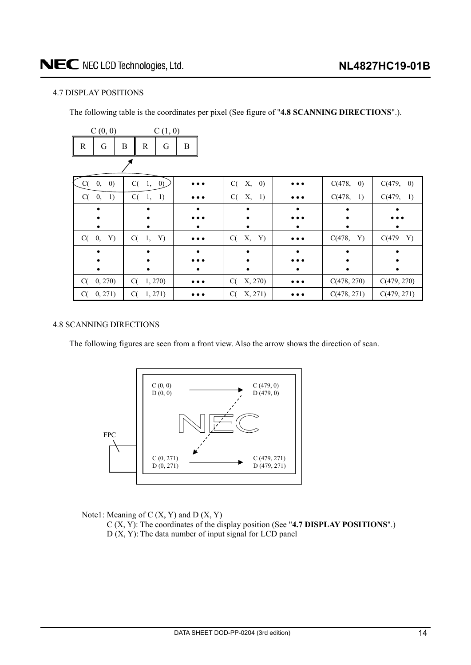### <span id="page-13-0"></span>4.7 DISPLAY POSITIONS

The following table is the coordinates per pixel (See figure of "**4.8 SCANNING DIRECTIONS**".).

|    | C(0, 0)                 | C(1, 0)                |                         |                               |                         |                             |                             |
|----|-------------------------|------------------------|-------------------------|-------------------------------|-------------------------|-----------------------------|-----------------------------|
| R  | G                       | B<br>G<br>$\mathbb{R}$ | B                       |                               |                         |                             |                             |
|    |                         |                        |                         |                               |                         |                             |                             |
| C( | $\left( 0\right)$<br>0, | $C(-1,$<br>(0)         | $\bullet\bullet$        | C(<br>Х,<br>$\left( 0\right)$ |                         | C(478,<br>$\left( 0\right)$ | C(479,<br>$\left( 0\right)$ |
| C( | 1)<br>0,                | C(<br>1)<br>1,         | $\bullet\bullet\bullet$ | C(<br>Х,<br>1)                | $\cdots$                | C(478,<br>1)                | C(479,<br>1)                |
|    |                         |                        |                         |                               |                         |                             |                             |
|    |                         |                        |                         |                               |                         |                             |                             |
|    |                         |                        |                         |                               |                         |                             |                             |
| C( | 0,<br>Y)                | $C(-1,$<br>Y)          | $\bullet\bullet\bullet$ | C(<br>Х,<br>Y)                | $\bullet\bullet\bullet$ | C(478,<br>Y)                | C(479<br>Y)                 |
|    |                         |                        |                         |                               |                         |                             |                             |
|    |                         |                        |                         |                               |                         |                             |                             |
|    |                         |                        |                         |                               |                         |                             |                             |
| C( | 0, 270)                 | C(1, 270)              | $\bullet\bullet\bullet$ | X, 270)<br>C(                 |                         | C(478, 270)                 | C(479, 270)                 |
| C( | 0, 271)                 | C(<br>1, 271)          |                         | X, 271)<br>C(                 |                         | C(478, 271)                 | C(479, 271)                 |

### 4.8 SCANNING DIRECTIONS

The following figures are seen from a front view. Also the arrow shows the direction of scan.



Note1: Meaning of  $C(X, Y)$  and  $D(X, Y)$ 

C (X, Y): The coordinates of the display position (See "**4.7 DISPLAY POSITIONS**".)  $D(X, Y)$ : The data number of input signal for LCD panel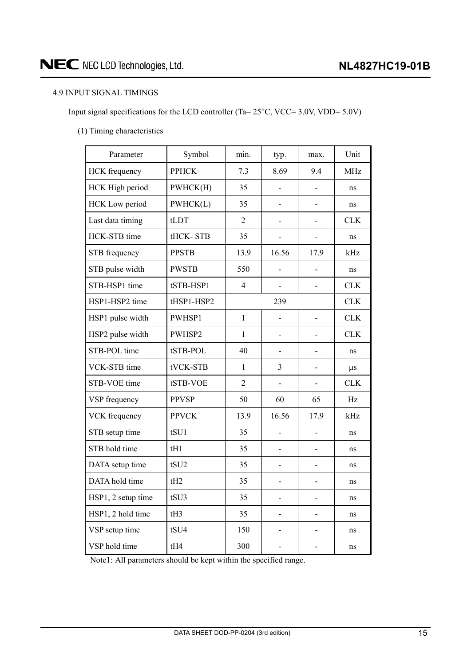### <span id="page-14-0"></span>4.9 INPUT SIGNAL TIMINGS

Input signal specifications for the LCD controller (Ta=  $25^{\circ}$ C, VCC= 3.0V, VDD= 5.0V)

(1) Timing characteristics

| Parameter             | Symbol           | min.           | typ.           | max.              | Unit       |
|-----------------------|------------------|----------------|----------------|-------------------|------------|
| <b>HCK</b> frequency  | <b>PPHCK</b>     | 7.3            | 8.69           | 9.4               | <b>MHz</b> |
| HCK High period       | PWHCK(H)         | 35             |                |                   | ns         |
| <b>HCK</b> Low period | PWHCK(L)         | 35             |                |                   | ns         |
| Last data timing      | tLDT             | $\overline{2}$ |                |                   | <b>CLK</b> |
| HCK-STB time          | tHCK-STB         | 35             |                |                   | ns         |
| STB frequency         | <b>PPSTB</b>     | 13.9           | 16.56          | 17.9              | kHz        |
| STB pulse width       | <b>PWSTB</b>     | 550            | $\overline{a}$ | $\overline{a}$    | ns         |
| STB-HSP1 time         | tSTB-HSP1        | $\overline{4}$ | $\overline{a}$ | $\overline{a}$    | <b>CLK</b> |
| HSP1-HSP2 time        | tHSP1-HSP2       |                | 239            |                   | <b>CLK</b> |
| HSP1 pulse width      | PWHSP1           | $\mathbf{1}$   |                | $\qquad \qquad -$ | <b>CLK</b> |
| HSP2 pulse width      | PWHSP2           | $\mathbf{1}$   |                | ÷                 | <b>CLK</b> |
| STB-POL time          | tSTB-POL         | 40             |                | ÷                 | ns         |
| VCK-STB time          | tVCK-STB         | $\mathbf{1}$   | 3              | $\overline{a}$    | $\mu$ s    |
| STB-VOE time          | tSTB-VOE         | $\overline{2}$ |                | -                 | <b>CLK</b> |
| VSP frequency         | <b>PPVSP</b>     | 50             | 60             | 65                | Hz         |
| VCK frequency         | <b>PPVCK</b>     | 13.9           | 16.56          | 17.9              | kHz        |
| STB setup time        | tSU1             | 35             | $\overline{a}$ | $\overline{a}$    | ns         |
| STB hold time         | tH1              | 35             |                | $\overline{a}$    | ns         |
| DATA setup time       | tSU <sub>2</sub> | 35             |                | -                 | ns         |
| DATA hold time        | tH2              | 35             |                |                   | ns         |
| HSP1, 2 setup time    | tSU3             | 35             |                |                   | ns         |
| HSP1, 2 hold time     | tH3              | 35             |                |                   | ns         |
| VSP setup time        | tSU4             | 150            |                |                   | ns         |
| VSP hold time         | tH4              | 300            |                |                   | ns         |

Note1: All parameters should be kept within the specified range.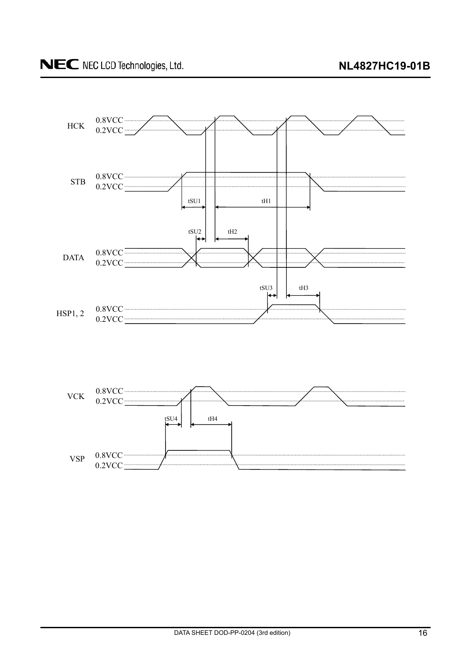

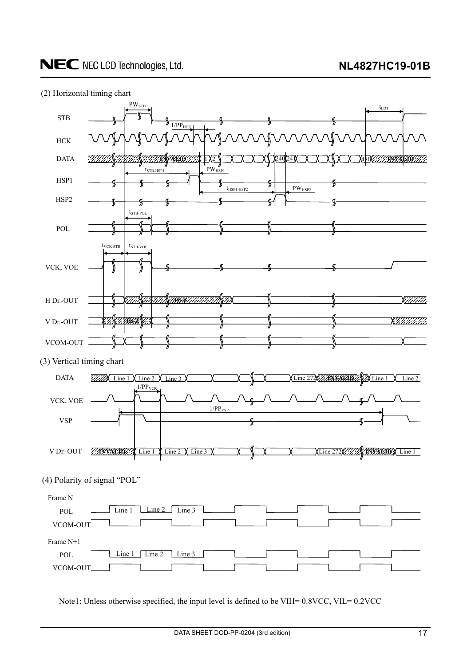



Note1: Unless otherwise specified, the input level is defined to be VIH= 0.8VCC, VIL= 0.2VCC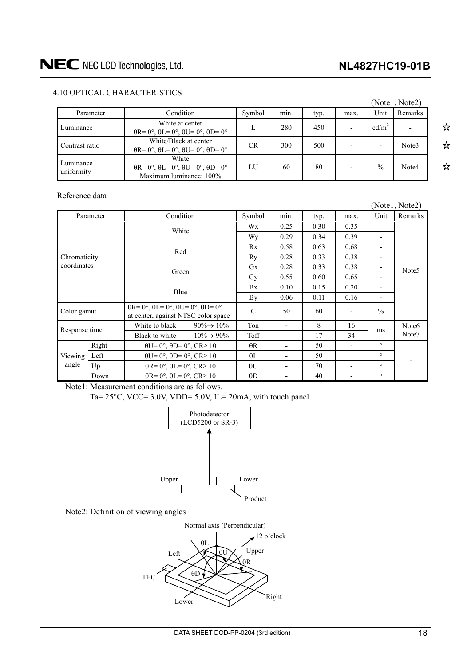### **NL4827HC19-01B**

☆

☆

☆

### <span id="page-17-0"></span>4.10 OPTICAL CHARACTERISTICS

|                         |                                                                                                    |           |      |      |      |                   | (Notel, Note2) |
|-------------------------|----------------------------------------------------------------------------------------------------|-----------|------|------|------|-------------------|----------------|
| Parameter               | Condition                                                                                          | Symbol    | min. | typ. | max. | Unit              | Remarks        |
| Luminance               | White at center<br>$\theta$ R= 0°, $\theta$ L= 0°, $\theta$ U= 0°, $\theta$ D= 0°                  |           | 280  | 450  |      | cd/m <sup>2</sup> |                |
| Contrast ratio          | White/Black at center<br>$\theta$ R= 0°, $\theta$ L= 0°, $\theta$ U= 0°, $\theta$ D= 0°            | <b>CR</b> | 300  | 500  |      |                   | Note3          |
| Luminance<br>uniformity | White<br>$\theta$ R= 0°, $\theta$ L= 0°, $\theta$ U= 0°, $\theta$ D= 0°<br>Maximum luminance: 100% | LU.       | 60   | 80   |      | $\frac{0}{0}$     | Note4          |

Reference data

|                             |                        |                                                                                                       |                         |               |                          |      |      |                          | (Notel, Note2)    |
|-----------------------------|------------------------|-------------------------------------------------------------------------------------------------------|-------------------------|---------------|--------------------------|------|------|--------------------------|-------------------|
|                             | Condition<br>Parameter |                                                                                                       | Symbol                  | min.          | typ.                     | max. | Unit | Remarks                  |                   |
| Chromaticity<br>coordinates |                        | White                                                                                                 |                         | Wx.           | 0.25                     | 0.30 | 0.35 |                          | Note <sub>5</sub> |
|                             |                        |                                                                                                       |                         | Wy            | 0.29                     | 0.34 | 0.39 | $\overline{\phantom{0}}$ |                   |
|                             |                        | Red                                                                                                   |                         | Rx            | 0.58                     | 0.63 | 0.68 | $\blacksquare$           |                   |
|                             |                        |                                                                                                       |                         | Ry            | 0.28                     | 0.33 | 0.38 | -                        |                   |
|                             |                        | Green                                                                                                 |                         | Gx            | 0.28                     | 0.33 | 0.38 | -                        |                   |
|                             |                        |                                                                                                       |                         | Gy            | 0.55                     | 0.60 | 0.65 | $\overline{\phantom{a}}$ |                   |
|                             |                        | Blue                                                                                                  |                         | Bx            | 0.10                     | 0.15 | 0.20 | $\blacksquare$           |                   |
|                             |                        |                                                                                                       |                         | By            | 0.06                     | 0.11 | 0.16 | $\blacksquare$           |                   |
| Color gamut                 |                        | $\theta$ R= 0°, $\theta$ L= 0°, $\theta$ U= 0°, $\theta$ D= 0°<br>at center, against NTSC color space |                         | $\mathcal{C}$ | 50                       | 60   |      | $\frac{0}{0}$            |                   |
| Response time               |                        | White to black                                                                                        | $90\% \rightarrow 10\%$ | Ton           | $\overline{\phantom{0}}$ | 8    | 16   | ms                       | Note <sub>6</sub> |
|                             |                        | Black to white                                                                                        | $10\% \rightarrow 90\%$ | Toff          | $\overline{a}$           | 17   | 34   |                          | Note7             |
| Viewing<br>angle            | Right                  | $\theta U = 0^\circ$ , $\theta D = 0^\circ$ , $CR \ge 10$                                             |                         | $\theta$ R    | $\blacksquare$           | 50   |      | $\circ$                  |                   |
|                             | Left                   | $\theta U = 0^\circ$ , $\theta D = 0^\circ$ , $CR \ge 10$                                             |                         | $\theta$ L    | -                        | 50   | ۰    | $\circ$                  |                   |
|                             | Up                     | $\theta$ R= 0°, $\theta$ L= 0°, CR≥ 10                                                                |                         | $\theta U$    | $\blacksquare$           | 70   |      | $\circ$                  |                   |
|                             | Down                   | $\theta$ R= 0°, $\theta$ L= 0°, CR≥ 10                                                                |                         | $\theta$ D    |                          | 40   |      | $\circ$                  |                   |

Note1: Measurement conditions are as follows.

Ta=  $25^{\circ}$ C, VCC= 3.0V, VDD= 5.0V, IL= 20mA, with touch panel



Note2: Definition of viewing angles

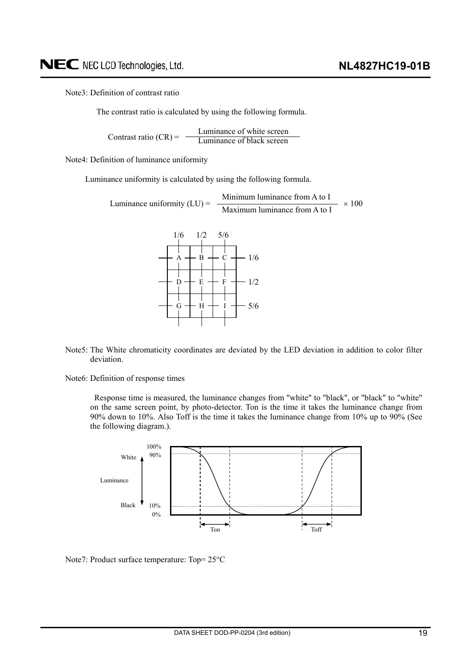Note3: Definition of contrast ratio

The contrast ratio is calculated by using the following formula.

Luminance of white screen Contrast ratio  $(CR) = \frac{E$  contrast ratio  $(CR) = \frac{E}{L}$ 

Note4: Definition of luminance uniformity

Luminance uniformity is calculated by using the following formula.

Luminance uniformity (LU) = 
$$
\frac{\text{Minimum luminance from A to I}}{\text{Maximum luminance from A to I}} \times 100
$$



- Note5: The White chromaticity coordinates are deviated by the LED deviation in addition to color filter deviation.
- Note6: Definition of response times

Response time is measured, the luminance changes from "white" to "black", or "black" to "white" on the same screen point, by photo-detector. Ton is the time it takes the luminance change from 90% down to 10%. Also Toff is the time it takes the luminance change from 10% up to 90% (See the following diagram.).



Note7: Product surface temperature:  $Top = 25^{\circ}C$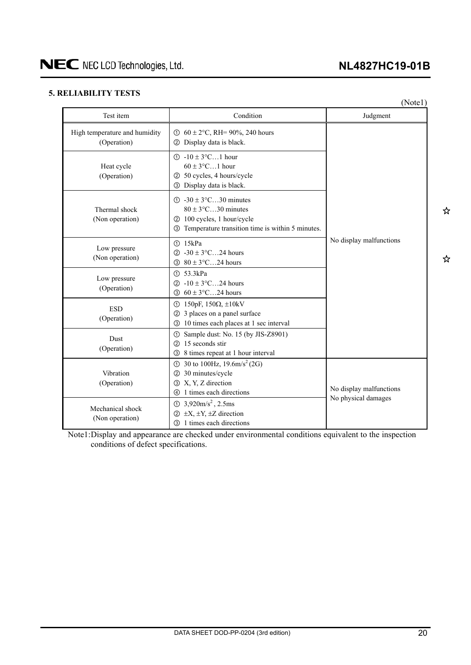## **NL4827HC19-01B**

### <span id="page-19-0"></span>**5. RELIABILITY TESTS**

|                                              |                                                                                                                                                                            | (Note1)                 |  |  |
|----------------------------------------------|----------------------------------------------------------------------------------------------------------------------------------------------------------------------------|-------------------------|--|--|
| Test item                                    | Condition                                                                                                                                                                  | Judgment                |  |  |
| High temperature and humidity<br>(Operation) | ① $60 \pm 2$ °C, RH= 90%, 240 hours<br>2 Display data is black.                                                                                                            |                         |  |  |
| Heat cycle<br>(Operation)                    | $\textcircled{1}$ -10 ± 3°C1 hour<br>$60 \pm 3$ °C1 hour<br>2 50 cycles, 4 hours/cycle<br>3 Display data is black.                                                         |                         |  |  |
| Thermal shock<br>(Non operation)             | $\textcircled{1}$ -30 ± 3 $\textcircled{C}$ 30 minutes<br>$80 \pm 3$ °C30 minutes<br>2 100 cycles, 1 hour/cycle<br>Temperature transition time is within 5 minutes.<br>(3) |                         |  |  |
| Low pressure<br>(Non operation)              | <b>15kPa</b><br>2 $-30 \pm 3$ °C24 hours<br>$80 \pm 3$ °C24 hours<br>3                                                                                                     | No display malfunctions |  |  |
| Low pressure<br>(Operation)                  | (1) 53.3kPa<br>2 -10 ± $3^{\circ}$ C24 hours<br>$60 \pm 3$ °C24 hours<br>3                                                                                                 |                         |  |  |
| <b>ESD</b><br>(Operation)                    | 150pF, 150 $\Omega$ , $\pm$ 10kV<br>ന<br>3 places on a panel surface<br>10 times each places at 1 sec interval<br>$\circled{3}$                                            |                         |  |  |
| <b>Dust</b><br>(Operation)                   | ① Sample dust: No. 15 (by JIS-Z8901)<br>15 seconds stir<br>(2)<br>8 times repeat at 1 hour interval<br>③                                                                   |                         |  |  |
| Vibration<br>(Operation)                     | ① 30 to 100Hz, $19.6 \text{m/s}^2$ (2G)<br>30 minutes/cycle<br>$\circled{2}$<br>3 X, Y, Z direction<br>4 1 times each directions                                           | No display malfunctions |  |  |
| Mechanical shock<br>(Non operation)          | $\textcircled{1}$ 3,920m/s <sup>2</sup> , 2.5ms<br>$\circled{2}$ ±X, ±Y, ±Z direction<br><b>3</b> 1 times each directions                                                  | No physical damages     |  |  |

Note1: Display and appearance are checked under environmental conditions equivalent to the inspection conditions of defect specifications.

☆

☆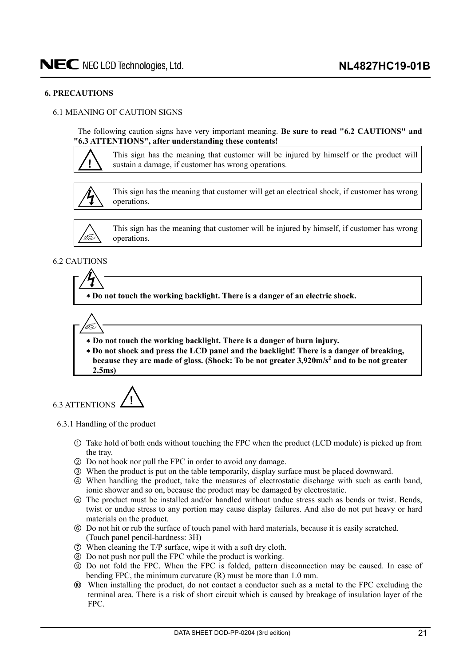### <span id="page-20-0"></span>**6. PRECAUTIONS**

### 6.1 MEANING OF CAUTION SIGNS

The following caution signs have very important meaning. **Be sure to read "6.2 CAUTIONS" and "6.3 ATTENTIONS", after understanding these contents!** 



This sign has the meaning that customer will be injured by himself or the product will sustain a damage, if customer has wrong operations.



This sign has the meaning that customer will get an electrical shock, if customer has wrong operations.



This sign has the meaning that customer will be injured by himself, if customer has wrong operations.

### 6.2 CAUTIONS

 **Do not touch the working backlight. There is a danger of an electric shock.** 



 **Do not touch the working backlight. There is a danger of burn injury.** 

  **Do not shock and press the LCD panel and the backlight! There is a danger of breaking,**  because they are made of glass. (Shock: To be not greater 3,920m/s<sup>2</sup> and to be not greater **2.5ms)**



6.3.1 Handling of the product

- Take hold of both ends without touching the FPC when the product (LCD module) is picked up from the tray.
- ཱ Do not hook nor pull the FPC in order to avoid any damage.
- ི When the product is put on the table temporarily, display surface must be placed downward.
- ཱི When handling the product, take the measures of electrostatic discharge with such as earth band, ionic shower and so on, because the product may be damaged by electrostatic.
- $\circ$  The product must be installed and/or handled without undue stress such as bends or twist. Bends, twist or undue stress to any portion may cause display failures. And also do not put heavy or hard materials on the product.
- ཱུ Do not hit or rub the surface of touch panel with hard materials, because it is easily scratched. (Touch panel pencil-hardness: 3H)
- ྲྀ When cleaning the T/P surface, wipe it with a soft dry cloth.
- ཷ Do not push nor pull the FPC while the product is working.
- ླྀ Do not fold the FPC. When the FPC is folded, pattern disconnection may be caused. In case of bending FPC, the minimum curvature (R) must be more than 1.0 mm.
- ཹ When installing the product, do not contact a conductor such as a metal to the FPC excluding the terminal area. There is a risk of short circuit which is caused by breakage of insulation layer of the FPC.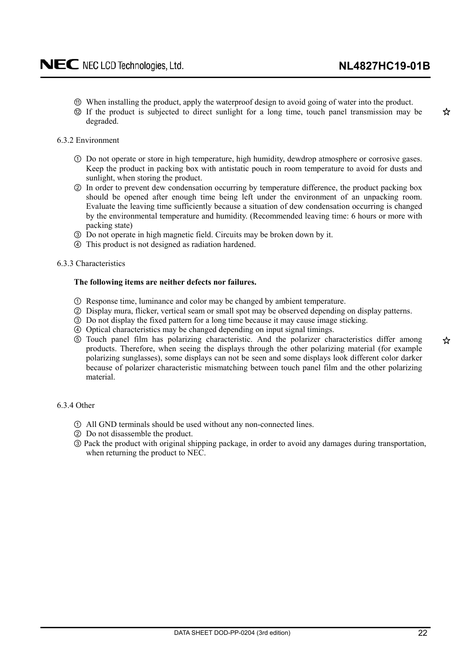- <span id="page-21-0"></span>ེ When installing the product, apply the waterproof design to avoid going of water into the product.
- ཻ If the product is subjected to direct sunlight for a long time, touch panel transmission may be degraded.
- 6.3.2 Environment
	- Do not operate or store in high temperature, high humidity, dewdrop atmosphere or corrosive gases. Keep the product in packing box with antistatic pouch in room temperature to avoid for dusts and sunlight, when storing the product.
	- ཱ In order to prevent dew condensation occurring by temperature difference, the product packing box should be opened after enough time being left under the environment of an unpacking room. Evaluate the leaving time sufficiently because a situation of dew condensation occurring is changed by the environmental temperature and humidity. (Recommended leaving time: 6 hours or more with packing state)
	- ི Do not operate in high magnetic field. Circuits may be broken down by it.
	- ཱི This product is not designed as radiation hardened.

#### 6.3.3 Characteristics

#### **The following items are neither defects nor failures.**

- Response time, luminance and color may be changed by ambient temperature.
- ཱ Display mura, flicker, vertical seam or small spot may be observed depending on display patterns.
- ི Do not display the fixed pattern for a long time because it may cause image sticking.
- ཱི Optical characteristics may be changed depending on input signal timings.
- ུ Touch panel film has polarizing characteristic. And the polarizer characteristics differ among products. Therefore, when seeing the displays through the other polarizing material (for example polarizing sunglasses), some displays can not be seen and some displays look different color darker because of polarizer characteristic mismatching between touch panel film and the other polarizing material.

#### 6.3.4 Other

- All GND terminals should be used without any non-connected lines.
- ཱ Do not disassemble the product.
- ི Pack the product with original shipping package, in order to avoid any damages during transportation, when returning the product to NEC.

☆

☆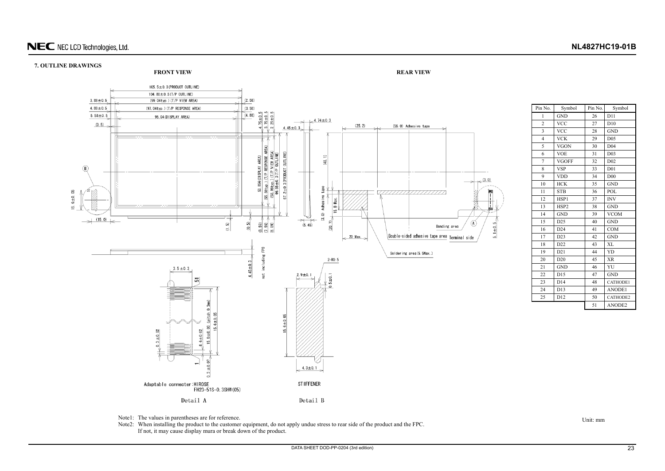### **7. OUTLINE DRAWINGS**

Unit: mm



| Pin No.        | Symbol          | Pin No. | Symbol          |  |
|----------------|-----------------|---------|-----------------|--|
| 1              | <b>GND</b>      | 26      | D11             |  |
| $\overline{c}$ | <b>VCC</b>      | 27      | D10             |  |
| 3              | <b>VCC</b>      | 28      | <b>GND</b>      |  |
| $\overline{4}$ | <b>VCK</b>      | 29      | D <sub>05</sub> |  |
| 5              | <b>VGON</b>     | 30      | D <sub>04</sub> |  |
| 6              | <b>VOE</b>      | 31      | D <sub>03</sub> |  |
| 7              | <b>VGOFF</b>    | 32      | D <sub>02</sub> |  |
| 8              | <b>VSP</b>      | 33      | D <sub>01</sub> |  |
| 9              | <b>VDD</b>      | 34      | D <sub>00</sub> |  |
| 10             | <b>HCK</b>      | 35      | <b>GND</b>      |  |
| 11             | <b>STB</b>      | 36      | POL             |  |
| 12             | HSP1            | 37      | <b>INV</b>      |  |
| 13             | HSP2            | 38      | <b>GND</b>      |  |
| 14             | <b>GND</b>      | 39      | <b>VCOM</b>     |  |
| 15             | D <sub>25</sub> | 40      | <b>GND</b>      |  |
| 16             | D24             | 41      | <b>COM</b>      |  |
| 17             | D23             | 42      | <b>GND</b>      |  |
| 18             | D22             | 43      | XL              |  |
| 19             | D21             | 44      | YD              |  |
| 20             | D20             | 45      | <b>XR</b>       |  |
| 21             | <b>GND</b>      | 46      | YU              |  |
| 22             | D15             | 47      | <b>GND</b>      |  |
| 23             | D <sub>14</sub> | 48      | CATHODE1        |  |
| 24             | D13             | 49      | ANODE1          |  |
| 25             | D12             | 50      | CATHODE2        |  |
|                |                 | 51      | ANODE2          |  |

Note1: The values in parentheses are for reference.

<span id="page-22-0"></span>Note2: When installing the product to the customer equipment, do not apply undue stress to rear side of the product and the FPC. If not, it may cause display mura or break down of the product.